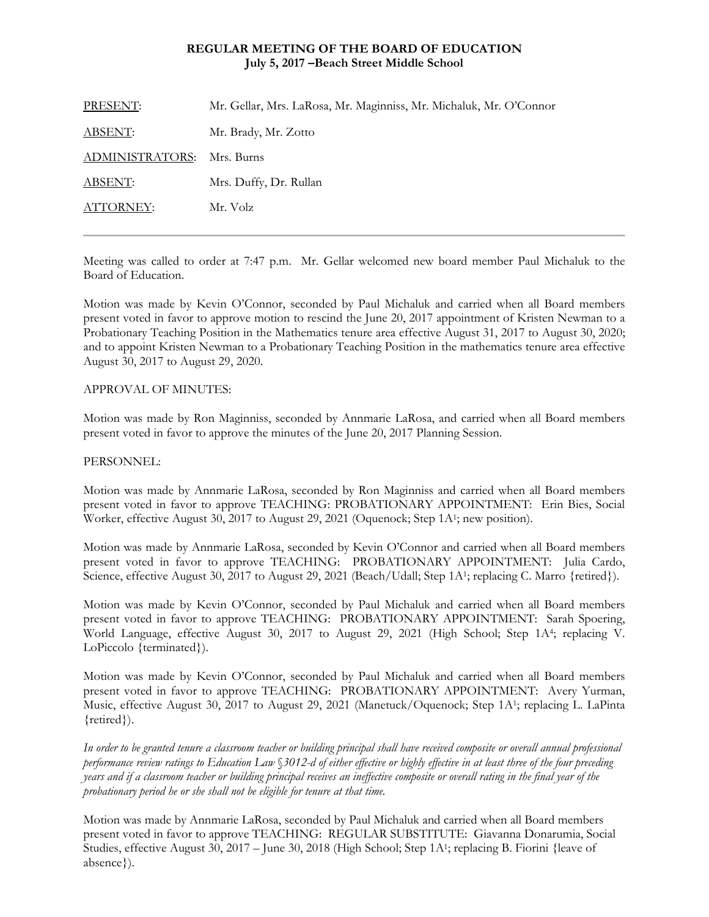### **REGULAR MEETING OF THE BOARD OF EDUCATION July 5, 2017 –Beach Street Middle School**

| PRESENT:        | Mr. Gellar, Mrs. LaRosa, Mr. Maginniss, Mr. Michaluk, Mr. O'Connor |
|-----------------|--------------------------------------------------------------------|
| <b>ABSENT:</b>  | Mr. Brady, Mr. Zotto                                               |
| ADMINISTRATORS: | Mrs. Burns                                                         |
| <b>ABSENT:</b>  | Mrs. Duffy, Dr. Rullan                                             |
| ATTORNEY:       | Mr. Volz                                                           |
|                 |                                                                    |

Meeting was called to order at 7:47 p.m. Mr. Gellar welcomed new board member Paul Michaluk to the Board of Education.

Motion was made by Kevin O'Connor, seconded by Paul Michaluk and carried when all Board members present voted in favor to approve motion to rescind the June 20, 2017 appointment of Kristen Newman to a Probationary Teaching Position in the Mathematics tenure area effective August 31, 2017 to August 30, 2020; and to appoint Kristen Newman to a Probationary Teaching Position in the mathematics tenure area effective August 30, 2017 to August 29, 2020.

## APPROVAL OF MINUTES:

Motion was made by Ron Maginniss, seconded by Annmarie LaRosa, and carried when all Board members present voted in favor to approve the minutes of the June 20, 2017 Planning Session.

### PERSONNEL:

Motion was made by Annmarie LaRosa, seconded by Ron Maginniss and carried when all Board members present voted in favor to approve TEACHING: PROBATIONARY APPOINTMENT: Erin Bies, Social Worker, effective August 30, 2017 to August 29, 2021 (Oquenock; Step 1A1; new position).

Motion was made by Annmarie LaRosa, seconded by Kevin O'Connor and carried when all Board members present voted in favor to approve TEACHING: PROBATIONARY APPOINTMENT: Julia Cardo, Science, effective August 30, 2017 to August 29, 2021 (Beach/Udall; Step 1A<sup>1</sup>; replacing C. Marro {retired}).

Motion was made by Kevin O'Connor, seconded by Paul Michaluk and carried when all Board members present voted in favor to approve TEACHING: PROBATIONARY APPOINTMENT: Sarah Spoering, World Language, effective August 30, 2017 to August 29, 2021 (High School; Step 1A4; replacing V. LoPiccolo {terminated}).

Motion was made by Kevin O'Connor, seconded by Paul Michaluk and carried when all Board members present voted in favor to approve TEACHING: PROBATIONARY APPOINTMENT: Avery Yurman, Music, effective August 30, 2017 to August 29, 2021 (Manetuck/Oquenock; Step 1A1; replacing L. LaPinta {retired}).

*In order to be granted tenure a classroom teacher or building principal shall have received composite or overall annual professional performance review ratings to Education Law* §*3012-d of either effective or highly effective in at least three of the four preceding years and if a classroom teacher or building principal receives an ineffective composite or overall rating in the final year of the probationary period he or she shall not be eligible for tenure at that time.* 

Motion was made by Annmarie LaRosa, seconded by Paul Michaluk and carried when all Board members present voted in favor to approve TEACHING: REGULAR SUBSTITUTE: Giavanna Donarumia, Social Studies, effective August 30, 2017 – June 30, 2018 (High School; Step 1A1; replacing B. Fiorini {leave of absence}).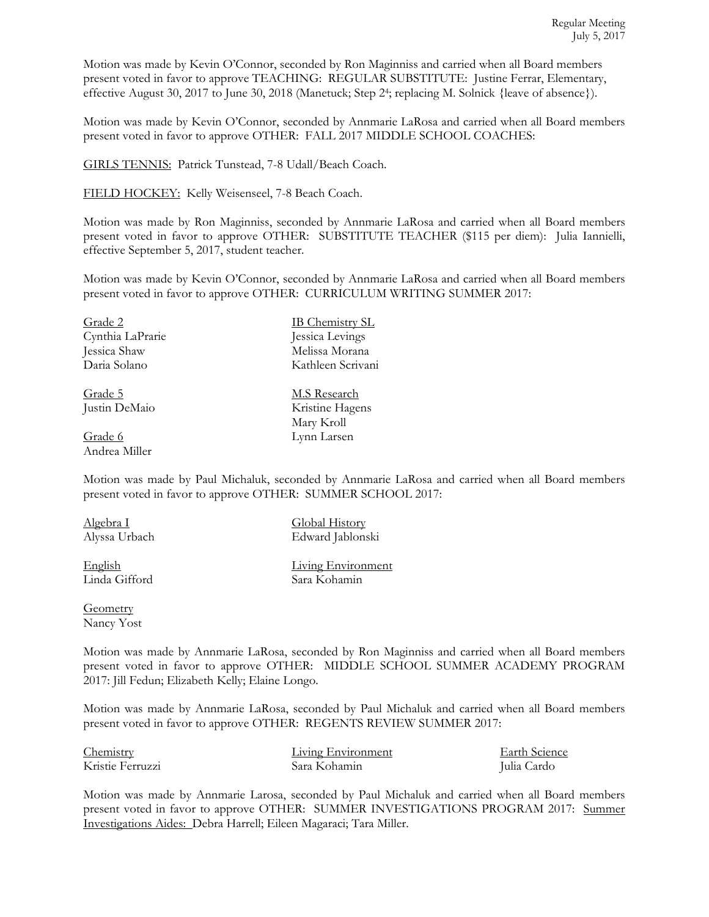Motion was made by Kevin O'Connor, seconded by Ron Maginniss and carried when all Board members present voted in favor to approve TEACHING: REGULAR SUBSTITUTE: Justine Ferrar, Elementary, effective August 30, 2017 to June 30, 2018 (Manetuck; Step 24; replacing M. Solnick {leave of absence}).

Motion was made by Kevin O'Connor, seconded by Annmarie LaRosa and carried when all Board members present voted in favor to approve OTHER: FALL 2017 MIDDLE SCHOOL COACHES:

GIRLS TENNIS: Patrick Tunstead, 7-8 Udall/Beach Coach.

FIELD HOCKEY: Kelly Weisenseel, 7-8 Beach Coach.

Motion was made by Ron Maginniss, seconded by Annmarie LaRosa and carried when all Board members present voted in favor to approve OTHER: SUBSTITUTE TEACHER (\$115 per diem): Julia Iannielli, effective September 5, 2017, student teacher.

Motion was made by Kevin O'Connor, seconded by Annmarie LaRosa and carried when all Board members present voted in favor to approve OTHER: CURRICULUM WRITING SUMMER 2017:

| Grade 2          | <b>IB Chemistry SL</b> |
|------------------|------------------------|
| Cynthia LaPrarie | Jessica Levings        |
| Jessica Shaw     | Melissa Morana         |
| Daria Solano     | Kathleen Scrivani      |
|                  |                        |

Grade 6 Lynn Larsen Andrea Miller

Grade 5 M.S Research Justin DeMaio Kristine Hagens Mary Kroll

Motion was made by Paul Michaluk, seconded by Annmarie LaRosa and carried when all Board members present voted in favor to approve OTHER: SUMMER SCHOOL 2017:

Algebra I Global History

English Living Environment<br>Linda Gifford Sara Kohamin

Alyssa Urbach Edward Jablonski

Sara Kohamin

**Geometry** 

Nancy Yost

Motion was made by Annmarie LaRosa, seconded by Ron Maginniss and carried when all Board members present voted in favor to approve OTHER: MIDDLE SCHOOL SUMMER ACADEMY PROGRAM 2017: Jill Fedun; Elizabeth Kelly; Elaine Longo.

Motion was made by Annmarie LaRosa, seconded by Paul Michaluk and carried when all Board members present voted in favor to approve OTHER: REGENTS REVIEW SUMMER 2017:

| Chemistry        | Living Environment | Earth Science |
|------------------|--------------------|---------------|
| Kristie Ferruzzi | Sara Kohamin       | Julia Cardo   |

Motion was made by Annmarie Larosa, seconded by Paul Michaluk and carried when all Board members present voted in favor to approve OTHER: SUMMER INVESTIGATIONS PROGRAM 2017: Summer Investigations Aides: Debra Harrell; Eileen Magaraci; Tara Miller.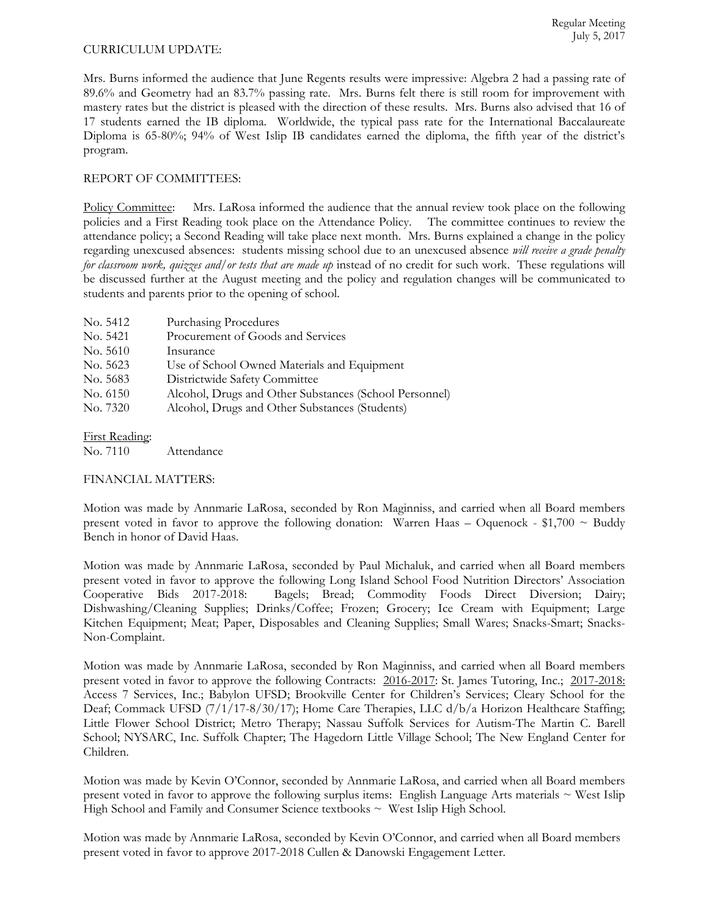## CURRICULUM UPDATE:

Mrs. Burns informed the audience that June Regents results were impressive: Algebra 2 had a passing rate of 89.6% and Geometry had an 83.7% passing rate. Mrs. Burns felt there is still room for improvement with mastery rates but the district is pleased with the direction of these results. Mrs. Burns also advised that 16 of 17 students earned the IB diploma. Worldwide, the typical pass rate for the International Baccalaureate Diploma is 65-80%; 94% of West Islip IB candidates earned the diploma, the fifth year of the district's program.

# REPORT OF COMMITTEES:

Policy Committee: Mrs. LaRosa informed the audience that the annual review took place on the following policies and a First Reading took place on the Attendance Policy. The committee continues to review the attendance policy; a Second Reading will take place next month. Mrs. Burns explained a change in the policy regarding unexcused absences: students missing school due to an unexcused absence *will receive a grade penalty for classroom work, quizzes and/or tests that are made up* instead of no credit for such work. These regulations will be discussed further at the August meeting and the policy and regulation changes will be communicated to students and parents prior to the opening of school.

| No. 5412 | <b>Purchasing Procedures</b>                           |
|----------|--------------------------------------------------------|
| No. 5421 | Procurement of Goods and Services                      |
| No. 5610 | Insurance                                              |
| No. 5623 | Use of School Owned Materials and Equipment            |
| No. 5683 | Districtwide Safety Committee                          |
| No. 6150 | Alcohol, Drugs and Other Substances (School Personnel) |
| No. 7320 | Alcohol, Drugs and Other Substances (Students)         |
|          |                                                        |

# First Reading:

No. 7110 Attendance

# FINANCIAL MATTERS:

Motion was made by Annmarie LaRosa, seconded by Ron Maginniss, and carried when all Board members present voted in favor to approve the following donation: Warren Haas – Oquenock - \$1,700  $\sim$  Buddy Bench in honor of David Haas.

Motion was made by Annmarie LaRosa, seconded by Paul Michaluk, and carried when all Board members present voted in favor to approve the following Long Island School Food Nutrition Directors' Association Cooperative Bids 2017-2018: Bagels; Bread; Commodity Foods Direct Diversion; Dairy; Dishwashing/Cleaning Supplies; Drinks/Coffee; Frozen; Grocery; Ice Cream with Equipment; Large Kitchen Equipment; Meat; Paper, Disposables and Cleaning Supplies; Small Wares; Snacks-Smart; Snacks-Non-Complaint.

Motion was made by Annmarie LaRosa, seconded by Ron Maginniss, and carried when all Board members present voted in favor to approve the following Contracts: 2016-2017: St. James Tutoring, Inc.; 2017-2018: Access 7 Services, Inc.; Babylon UFSD; Brookville Center for Children's Services; Cleary School for the Deaf; Commack UFSD (7/1/17-8/30/17); Home Care Therapies, LLC d/b/a Horizon Healthcare Staffing; Little Flower School District; Metro Therapy; Nassau Suffolk Services for Autism-The Martin C. Barell School; NYSARC, Inc. Suffolk Chapter; The Hagedorn Little Village School; The New England Center for Children.

Motion was made by Kevin O'Connor, seconded by Annmarie LaRosa, and carried when all Board members present voted in favor to approve the following surplus items: English Language Arts materials ~ West Islip High School and Family and Consumer Science textbooks  $\sim$  West Islip High School.

Motion was made by Annmarie LaRosa, seconded by Kevin O'Connor, and carried when all Board members present voted in favor to approve 2017-2018 Cullen & Danowski Engagement Letter.